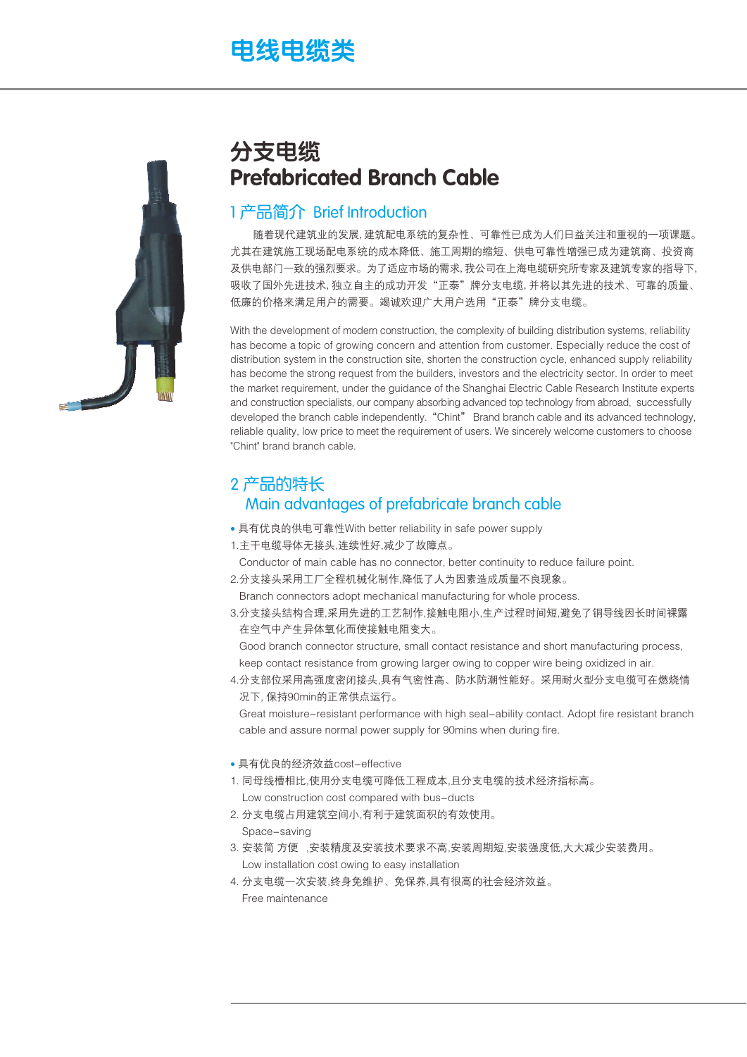## 分支电缆 **Prefabricated Branch Cable**

### 1产品简介 Brief Introduction

随着现代建筑业的发展,建筑配电系统的复杂性、可靠性已成为人们日益关注和重视的一项课题。 尤其在建筑施工现场配电系统的成本降低、施工周期的缩短、供电可靠性增强已成为建筑商、投资商 及供电部门一致的强烈要求。为了适应市场的需求,我公司在上海电缆研究所专家及建筑专家的指导下, 吸收了国外先进技术,独立自主的成功开发"正泰"牌分支电缆,并将以其先进的技术、可靠的质量、 低廉的价格来满足用户的需要。竭诚欢迎广大用户选用"正泰"牌分支电缆。

With the development of modern construction, the complexity of building distribution systems, reliability has become a topic of growing concern and attention from customer. Especially reduce the cost of distribution system in the construction site, shorten the construction cycle, enhanced supply reliability has become the strong request from the builders, investors and the electricity sector. In order to meet the market requirement, under the guidance of the Shanghai Electric Cable Research Institute experts and construction specialists, our company absorbing advanced top technology from abroad, successfully developed the branch cable independently. "Chint" Brand branch cable and its advanced technology, reliable quality, low price to meet the requirement of users. We sincerely welcome customers to choose "Chint" brand branch cable

### 2产品的特长

### Main advantages of prefabricate branch cable

- 具有优良的供电可靠性With better reliability in safe power supply
- 1.主干电缆导体无接头,连续性好,减少了故障点。
	- Conductor of main cable has no connector, better continuity to reduce failure point.
- 2.分支接头采用工厂全程机械化制作,降低了人为因素造成质量不良现象。 Branch connectors adopt mechanical manufacturing for whole process.
- 3.分支接头结构合理.采用先进的工艺制作.接触电阻小.生产过程时间短.避免了铜导线因长时间裸露 在空气中产生异体氧化而使接触电阻变大。

Good branch connector structure, small contact resistance and short manufacturing process, keep contact resistance from growing larger owing to copper wire being oxidized in air.

4.分支部位采用高强度密闭接头,具有气密性高、防水防潮性能好。采用耐火型分支电缆可在燃烧情 况下, 保持90min的正常供点运行。

Great moisture-resistant performance with high seal-ability contact. Adopt fire resistant branch cable and assure normal power supply for 90mins when during fire.

- 具有优良的经济效益cost-effective
- 1. 同母线槽相比,使用分支电缆可降低工程成本,且分支电缆的技术经济指标高。 Low construction cost compared with bus-ducts
- 2. 分支电缆占用建筑空间小,有利干建筑面积的有效使用。
	- Space-saving
- 3. 安装简 方便 , 安装精度及安装技术要求不高,安装周期短,安装强度低,大大减少安装费用。 Low installation cost owing to easy installation
- 4. 分支电缆一次安装,终身免维护、免保养,具有很高的社会经济效益。

Free maintenance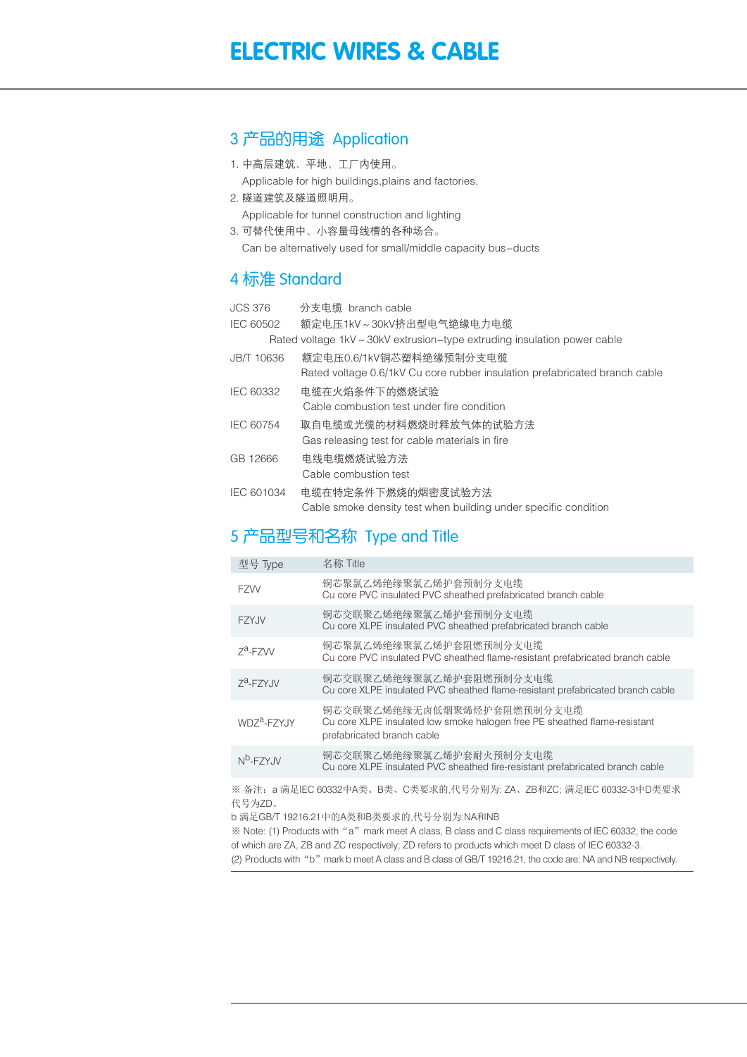### 3 产品的用途 Application

- 1. 中高层建筑、平地、工厂内使用。 Applicable for high buildings, plains and factories.
- 2. 隧道建筑及隧道照明用。
	- Applicable for tunnel construction and lighting
- 3. 可替代使用中、小容量母线槽的各种场合。

Can be alternatively used for small/middle capacity bus-ducts

## 4 标准 Standard

| <b>JCS 376</b> | 分支电缆 branch cable                                                          |
|----------------|----------------------------------------------------------------------------|
| IEC 60502      | 额定电压1kV~30kV挤出型电气绝缘电力电缆                                                    |
|                | Rated voltage 1kV ~ 30kV extrusion-type extruding insulation power cable   |
| JB/T 10636     | 额定电压0.6/1kV铜芯塑料绝缘预制分支电缆                                                    |
|                | Rated voltage 0.6/1kV Cu core rubber insulation prefabricated branch cable |
| IEC 60332      | 电缆在火焰条件下的燃烧试验                                                              |
|                | Cable combustion test under fire condition                                 |
| IEC 60754      | 取自电缆或光缆的材料燃烧时释放气体的试验方法                                                     |
|                | Gas releasing test for cable materials in fire                             |
| GB 12666       | 电线电缆燃烧试验方法                                                                 |
|                | Cable combustion test                                                      |
| IEC 601034     | 电缆在特定条件下燃烧的烟密度试验方法                                                         |
|                | Cable smoke density test when building under specific condition            |

### 5 产品型号和名称 Type and Title

| 型号 Type                 | 名称 Title                                                                                                                              |
|-------------------------|---------------------------------------------------------------------------------------------------------------------------------------|
| <b>FZW</b>              | 铜芯聚氯乙烯绝缘聚氯乙烯护套预制分支电缆<br>Cu core PVC insulated PVC sheathed prefabricated branch cable                                                 |
| <b>FZYJV</b>            | 铜芯交联聚乙烯绝缘聚氯乙烯护套预制分支电缆<br>Cu core XLPE insulated PVC sheathed prefabricated branch cable                                               |
| $Z^a$ -FZW              | 铜芯聚氯乙烯绝缘聚氯乙烯护套阻燃预制分支电缆<br>Cu core PVC insulated PVC sheathed flame-resistant prefabricated branch cable                               |
| $Z^a$ -FZYJV            | 铜芯交联聚乙烯绝缘聚氯乙烯护套阻燃预制分支电缆<br>Cu core XLPE insulated PVC sheathed flame-resistant prefabricated branch cable                             |
| WDZ <sup>a</sup> -FZYJY | 铜芯交联聚乙烯绝缘无卤低烟聚烯烃护套阻燃预制分支电缆<br>Cu core XLPE insulated low smoke halogen free PE sheathed flame-resistant<br>prefabricated branch cable |
| $N^b$ -FZYJV            | 铜芯交联聚乙烯绝缘聚氯乙烯护套耐火预制分支电缆<br>Cu core XLPE insulated PVC sheathed fire-resistant prefabricated branch cable                              |
|                         | ※ 各注• a 满是IFC 60332中A类、B类、C类要求的 代号分别为· ZA、ZB和ZC· 满是IFC 60332-3中D类要求                                                                   |

代号为ZD。

b 满足GB/T 19216.21中的A类和B类要求的,代号分别为:NA和NB

\* Note: (1) Products with "a" mark meet A class, B class and C class requirements of IEC 60332, the code of which are ZA, ZB and ZC respectively; ZD refers to products which meet D class of IEC 60332-3. (2) Products with "b" mark b meet A class and B class of GB/T 19216.21, the code are: NA and NB respectively.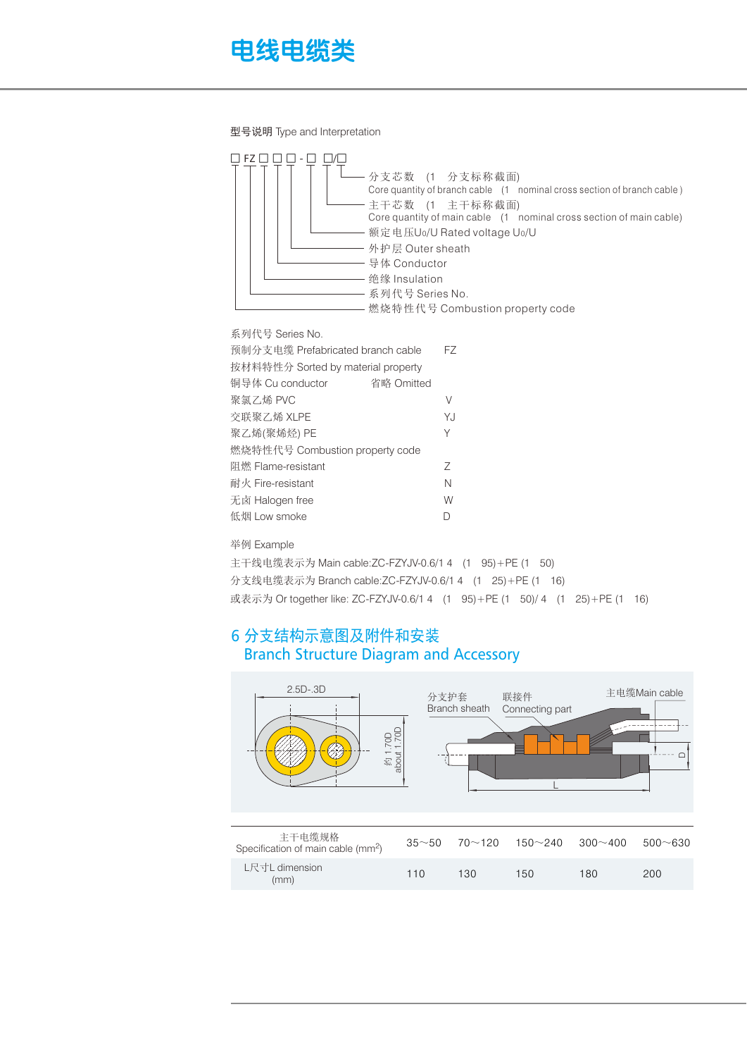型号说明 Type and Interpretation



| 系列代号 Series No.                    |    |
|------------------------------------|----|
| 预制分支电缆 Prefabricated branch cable  | F7 |
| 按材料特性分 Sorted by material property |    |
| 铜导体 Cu conductor<br>省略 Omitted     |    |
| 聚氯乙烯 PVC                           | V  |
| 交联聚乙烯 XLPE                         | YJ |
| 聚乙烯(聚烯烃) PE                        | Υ  |
| 燃烧特性代号 Combustion property code    |    |
| 阻燃 Flame-resistant                 | 7  |
| 耐火 Fire-resistant                  | N  |
| 无卤 Halogen free                    | W  |
| 低烟 Low smoke                       | D) |

举例 Example

- 主干线电缆表示为 Main cable:ZC-FZYJV-0.6/1 4 (1 95)+PE (1 50)
- 分支线电缆表示为 Branch cable:ZC-FZYJV-0.6/1 4 (1 25)+PE (1 16)
- 或表示为 Or together like: ZC-FZYJV-0.6/1 4 (1 95)+PE (1 50)/ 4 (1 25)+PE (1 16)

### 6 分支结构示意图及附件和安装 Branch Structure Diagram and Accessory

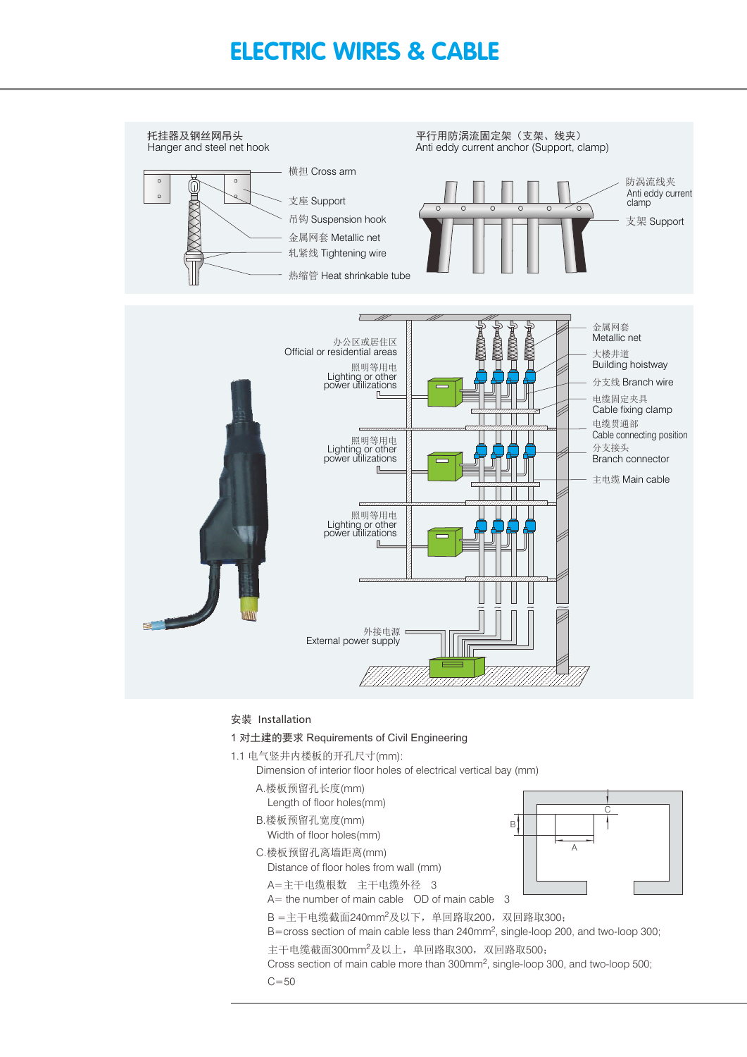

#### 安装 Installation

#### 1 对土建的要求 Requirements of Civil Engineering

1.1 电气竖井内楼板的开孔尺寸(mm):

Dimension of interior floor holes of electrical vertical bay (mm)

A. 楼板预留孔长度(mm) Length of floor holes(mm)

- B. 楼板预留孔宽度(mm) Width of floor holes(mm)
- 
- C. 楼板预留孔离墙距离(mm) Distance of floor holes from wall (mm)
- A=主干电缆根数 主干电缆外径 3

 $A=$  the number of main cable  $OD$  of main cable  $3$ 

B=主干电缆截面240mm2及以下, 单回路取200, 双回路取300;

B=cross section of main cable less than 240mm<sup>2</sup>, single-loop 200, and two-loop 300;

A

C

B

主干电缆截面300mm2及以上, 单回路取300, 双回路取500;

Cross section of main cable more than 300mm<sup>2</sup>, single-loop 300, and two-loop 500;  $C = 50$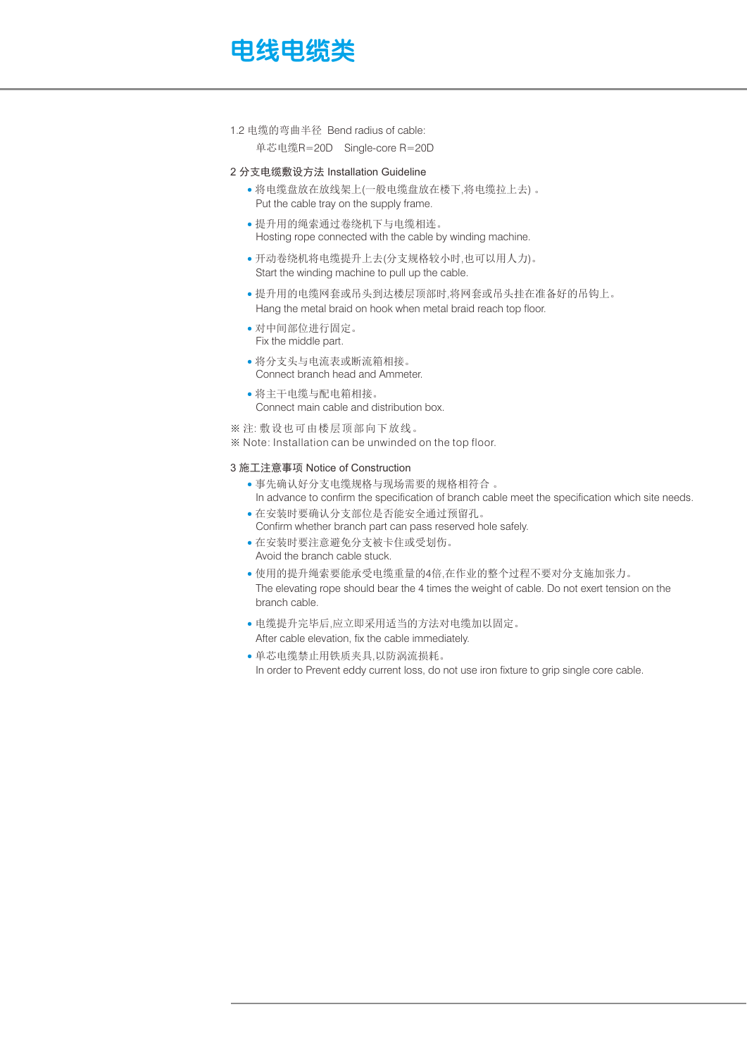1.2 电缆的弯曲半径 Bend radius of cable:

单芯电缆R=20D Single-core R=20D

### 2 Installation Guideline -

- 将电缆盘放在放线架上(一般电缆盘放在楼下,将电缆拉上去)。 Put the cable tray on the supply frame.
- 提升用的绳索通过卷绕机下与电缆相连。 Hosting rope connected with the cable by winding machine.
- 开动卷绕机将电缆提升上去(分支规格较小时,也可以用人力)。 Start the winding machine to pull up the cable.
- 提升用的电缆网套或吊头到达楼层顶部时,将网套或吊头挂在准备好的吊钩上。 Hang the metal braid on hook when metal braid reach top floor.
- 对中间部位讲行固定。 Fix the middle part.
- 将分支头与电流表或断流箱相接。 Connect branch head and Ammeter.
- 将主干电缆与配电箱相接。 Connect main cable and distribution box.

※注: 敷设也可由楼层顶部向下放线。

※ Note: Installation can be unwinded on the top floor.

### 3 Notice of Construction

- •事先确认好分支电缆规格与现场需要的规格相符合。 In advance to confirm the specification of branch cable meet the specification which site needs.
- 在安装时要确认分支部位是否能安全通过预留孔。 Confirm whether branch part can pass reserved hole safely.
- 在安装时要注意避免分支被卡住或受划伤。 Avoid the branch cable stuck.
- 使用的提升绳索要能承受电缆重量的4倍,在作业的整个过程不要对分支施加张力。 The elevating rope should bear the 4 times the weight of cable. Do not exert tension on the branch cable.
- 电缆提升完毕后,应立即采用适当的方法对电缆加以固定。 After cable elevation, fix the cable immediately.
- 单芯电缆禁止用铁质夹具,以防涡流损耗。 In order to Prevent eddy current loss, do not use iron fixture to grip single core cable.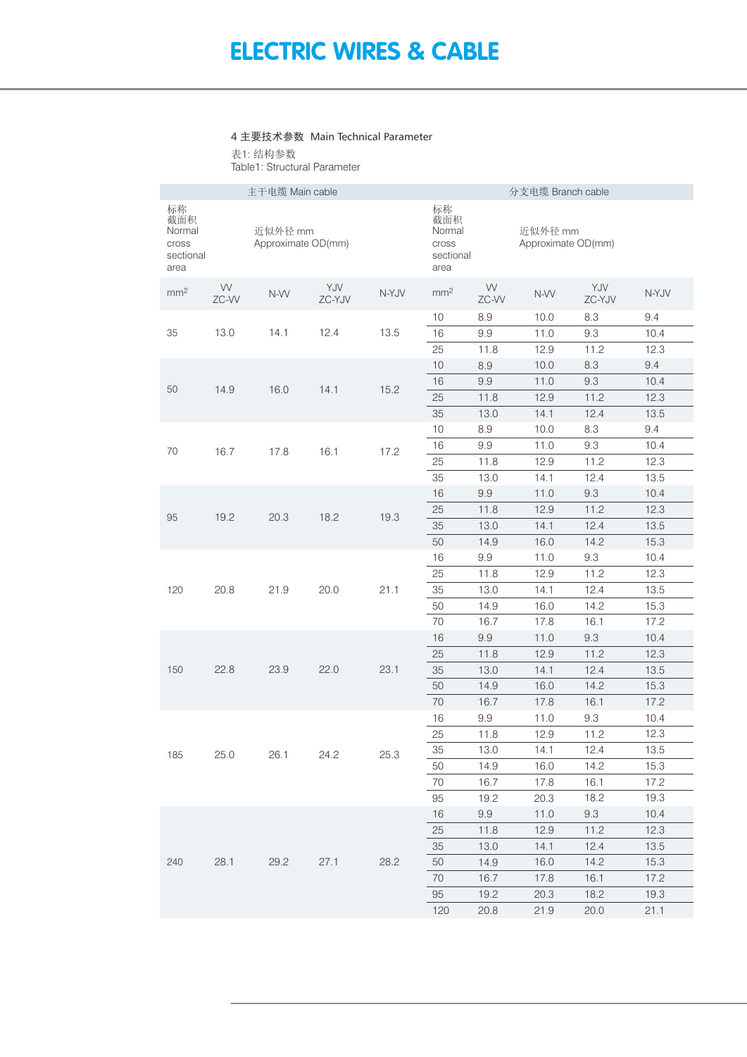#### 4 主要技术参数 Main Technical Parameter

表1: 结构参数 Table1: Structural Parameter

|                                                   |                   | 主干电缆 Main cable               |               |       | 分支电缆 Branch cable                                 |            |                               |               |       |  |
|---------------------------------------------------|-------------------|-------------------------------|---------------|-------|---------------------------------------------------|------------|-------------------------------|---------------|-------|--|
| 标称<br>截面积<br>Normal<br>cross<br>sectional<br>area |                   | 近似外径 mm<br>Approximate OD(mm) |               |       | 标称<br>截面积<br>Normal<br>cross<br>sectional<br>area |            | 近似外径 mm<br>Approximate OD(mm) |               |       |  |
| mm <sup>2</sup>                                   | <b>VV</b><br>ZC-W | N-VV                          | YJV<br>ZC-YJV | N-YJV | mm <sup>2</sup>                                   | W<br>ZC-VV | N-VV                          | YJV<br>ZC-YJV | N-YJV |  |
|                                                   |                   |                               |               |       | 10                                                | 8.9        | 10.0                          | 8.3           | 9.4   |  |
| 35                                                | 13.0              | 14.1                          | 12.4          | 13.5  | 16                                                | 9.9        | 11.0                          | 9.3           | 10.4  |  |
|                                                   |                   |                               |               |       | 25                                                | 11.8       | 12.9                          | 11.2          | 12.3  |  |
|                                                   |                   |                               |               |       | 10                                                | 8.9        | 10.0                          | 8.3           | 9.4   |  |
| 50                                                | 14.9              | 16.0                          | 14.1          | 15.2  | 16                                                | 9.9        | 11.0                          | 9.3           | 10.4  |  |
|                                                   |                   |                               |               |       | 25                                                | 11.8       | 12.9                          | 11.2          | 12.3  |  |
|                                                   |                   |                               |               |       | 35                                                | 13.0       | 14.1                          | 12.4          | 13.5  |  |
|                                                   |                   |                               |               |       | 10                                                | 8.9        | 10.0                          | 8.3           | 9.4   |  |
| 70                                                | 16.7              | 17.8                          | 16.1          | 17.2  | 16                                                | 9.9        | 11.0                          | 9.3           | 10.4  |  |
|                                                   |                   |                               |               |       | 25                                                | 11.8       | 12.9                          | 11.2          | 12.3  |  |
|                                                   |                   |                               |               |       | 35                                                | 13.0       | 14.1                          | 12.4          | 13.5  |  |
|                                                   |                   |                               |               |       | 16                                                | 9.9        | 11.0                          | 9.3           | 10.4  |  |
| 95                                                | 19.2              | 20.3                          | 18.2          | 19.3  | 25                                                | 11.8       | 12.9                          | 11.2          | 12.3  |  |
|                                                   |                   |                               |               |       | 35                                                | 13.0       | 14.1                          | 12.4          | 13.5  |  |
|                                                   |                   |                               |               |       | 50                                                | 14.9       | 16.0                          | 14.2          | 15.3  |  |
|                                                   | 20.8              | 21.9                          |               |       | 16                                                | 9.9        | 11.0                          | 9.3           | 10.4  |  |
|                                                   |                   |                               |               |       | 25                                                | 11.8       | 12.9                          | 11.2          | 12.3  |  |
| 120                                               |                   |                               | 20.0          | 21.1  | 35                                                | 13.0       | 14.1                          | 12.4          | 13.5  |  |
|                                                   |                   |                               |               |       | 50                                                | 14.9       | 16.0                          | 14.2          | 15.3  |  |
|                                                   |                   |                               |               |       | 70                                                | 16.7       | 17.8                          | 16.1          | 17.2  |  |
|                                                   |                   |                               |               |       | 16                                                | 9.9        | 11.0                          | 9.3           | 10.4  |  |
|                                                   |                   |                               |               |       | 25                                                | 11.8       | 12.9                          | 11.2          | 12.3  |  |
| 150                                               | 22.8              | 23.9                          | 22.0          | 23.1  | 35                                                | 13.0       | 14.1                          | 12.4          | 13.5  |  |
|                                                   |                   |                               |               |       | 50                                                | 14.9       | 16.0                          | 14.2          | 15.3  |  |
|                                                   |                   |                               |               |       | 70                                                | 16.7       | 17.8                          | 16.1          | 17.2  |  |
|                                                   |                   |                               |               |       | 16                                                | 9.9        | 11.0                          | 9.3           | 10.4  |  |
|                                                   |                   |                               |               |       | 25                                                | 11.8       | 12.9                          | 11.2          | 12.3  |  |
| 185                                               | 25.0              | 26.1                          | 24.2          | 25.3  | 35                                                | 13.0       | 14.1                          | 12.4          | 13.5  |  |
|                                                   |                   |                               |               |       | 50                                                | 14.9       | 16.0                          | 14.2          | 15.3  |  |
|                                                   |                   |                               |               |       | 70                                                | 16.7       | 17.8                          | 16.1          | 17.2  |  |
|                                                   |                   |                               |               |       | 95                                                | 19.2       | 20.3                          | 18.2          | 19.3  |  |
|                                                   |                   |                               |               |       | 16                                                | 9.9        | 11.0                          | 9.3           | 10.4  |  |
|                                                   |                   |                               |               |       | 25                                                | 11.8       | 12.9                          | 11.2          | 12.3  |  |
|                                                   |                   |                               |               |       | 35                                                | 13.0       | 14.1                          | 12.4          | 13.5  |  |
| 240                                               | 28.1              | 29.2                          | 27.1          | 28.2  | 50                                                | 14.9       | 16.0                          | 14.2          | 15.3  |  |
|                                                   |                   |                               |               |       | 70                                                | 16.7       | 17.8                          | 16.1          | 17.2  |  |
|                                                   |                   |                               |               |       | 95                                                | 19.2       | 20.3                          | 18.2          | 19.3  |  |
|                                                   |                   |                               |               |       | 120                                               | 20.8       | 21.9                          | 20.0          | 21.1  |  |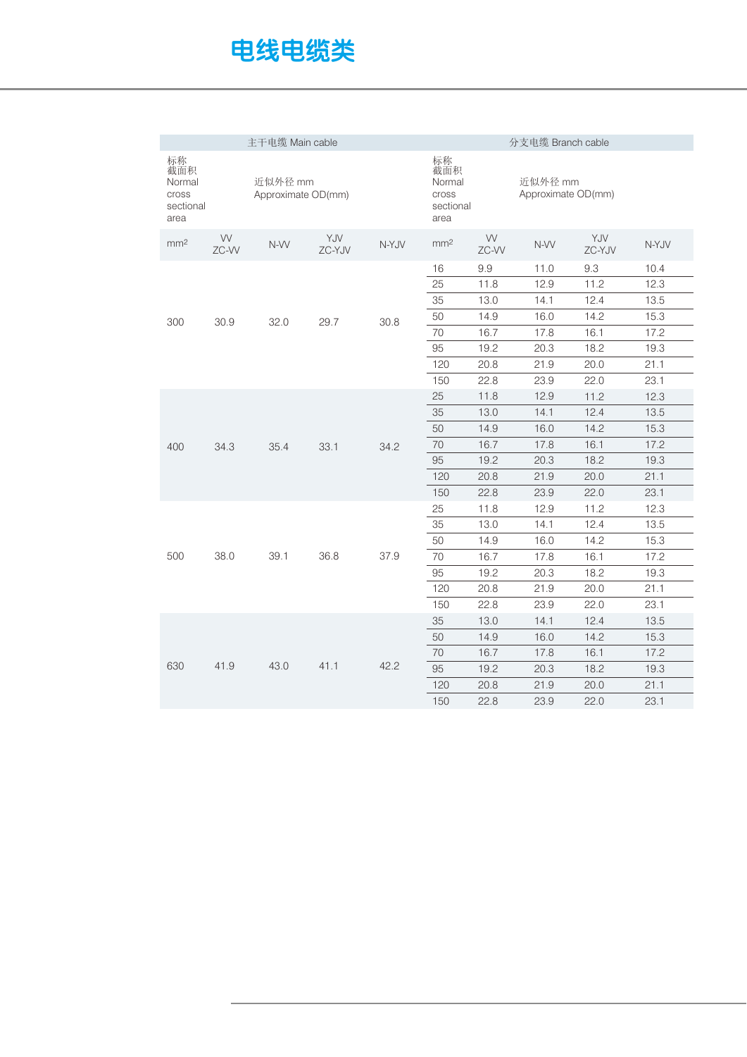| 主干电缆 Main cable                                   |                               |      |               |       |                                                   | 分支电缆 Branch cable             |        |               |       |  |  |
|---------------------------------------------------|-------------------------------|------|---------------|-------|---------------------------------------------------|-------------------------------|--------|---------------|-------|--|--|
| 标称<br>截面积<br>Normal<br>cross<br>sectional<br>area | 近似外径 mm<br>Approximate OD(mm) |      |               |       | 标称<br>截面积<br>Normal<br>cross<br>sectional<br>area | 近似外径 mm<br>Approximate OD(mm) |        |               |       |  |  |
| mm <sup>2</sup>                                   | <b>W</b><br>ZC-W              | N-W  | YJV<br>ZC-YJV | N-YJV | mm <sup>2</sup>                                   | <b>W</b><br>ZC-VV             | $N-VV$ | YJV<br>ZC-YJV | N-YJV |  |  |
|                                                   |                               |      |               |       | 16                                                | 9.9                           | 11.0   | 9.3           | 10.4  |  |  |
|                                                   |                               |      |               |       | 25                                                | 11.8                          | 12.9   | 11.2          | 12.3  |  |  |
|                                                   |                               |      |               |       | 35                                                | 13.0                          | 14.1   | 12.4          | 13.5  |  |  |
| 300                                               | 30.9                          | 32.0 | 29.7          | 30.8  | 50                                                | 14.9                          | 16.0   | 14.2          | 15.3  |  |  |
|                                                   |                               |      |               |       | 70                                                | 16.7                          | 17.8   | 16.1          | 17.2  |  |  |
|                                                   |                               |      |               |       | 95                                                | 19.2                          | 20.3   | 18.2          | 19.3  |  |  |
|                                                   |                               |      |               |       | 120                                               | 20.8                          | 21.9   | 20.0          | 21.1  |  |  |
|                                                   |                               |      |               |       | 150                                               | 22.8                          | 23.9   | 22.0          | 23.1  |  |  |
|                                                   | 34.3<br>35.4                  |      |               |       | 25                                                | 11.8                          | 12.9   | 11.2          | 12.3  |  |  |
|                                                   |                               |      |               |       | 35                                                | 13.0                          | 14.1   | 12.4          | 13.5  |  |  |
|                                                   |                               |      |               |       | 50                                                | 14.9                          | 16.0   | 14.2          | 15.3  |  |  |
| 400                                               |                               |      | 33.1          | 34.2  | 70                                                | 16.7                          | 17.8   | 16.1          | 17.2  |  |  |
|                                                   |                               |      |               |       | 95                                                | 19.2                          | 20.3   | 18.2          | 19.3  |  |  |
|                                                   |                               |      |               |       | 120                                               | 20.8                          | 21.9   | 20.0          | 21.1  |  |  |
|                                                   |                               |      |               |       | 150                                               | 22.8                          | 23.9   | 22.0          | 23.1  |  |  |
|                                                   |                               |      |               |       | 25                                                | 11.8                          | 12.9   | 11.2          | 12.3  |  |  |
|                                                   |                               |      |               |       | 35                                                | 13.0                          | 14.1   | 12.4          | 13.5  |  |  |
|                                                   |                               |      |               |       | 50                                                | 14.9                          | 16.0   | 14.2          | 15.3  |  |  |
| 500                                               | 38.0                          | 39.1 | 36.8          | 37.9  | 70                                                | 16.7                          | 17.8   | 16.1          | 17.2  |  |  |
|                                                   |                               |      |               |       | 95                                                | 19.2                          | 20.3   | 18.2          | 19.3  |  |  |
|                                                   |                               |      |               |       | 120                                               | 20.8                          | 21.9   | 20.0          | 21.1  |  |  |
|                                                   |                               |      |               |       | 150                                               | 22.8                          | 23.9   | 22.0          | 23.1  |  |  |
|                                                   |                               |      |               |       | 35                                                | 13.0                          | 14.1   | 12.4          | 13.5  |  |  |
|                                                   |                               |      |               |       | 50                                                | 14.9                          | 16.0   | 14.2          | 15.3  |  |  |
|                                                   |                               |      |               |       | 70                                                | 16.7                          | 17.8   | 16.1          | 17.2  |  |  |
| 630                                               | 41.9                          | 43.0 | 41.1          | 42.2  | 95                                                | 19.2                          | 20.3   | 18.2          | 19.3  |  |  |
|                                                   |                               |      |               |       | 120                                               | 20.8                          | 21.9   | 20.0          | 21.1  |  |  |
|                                                   |                               |      |               |       | 150                                               | 22.8                          | 23.9   | 22.0          | 23.1  |  |  |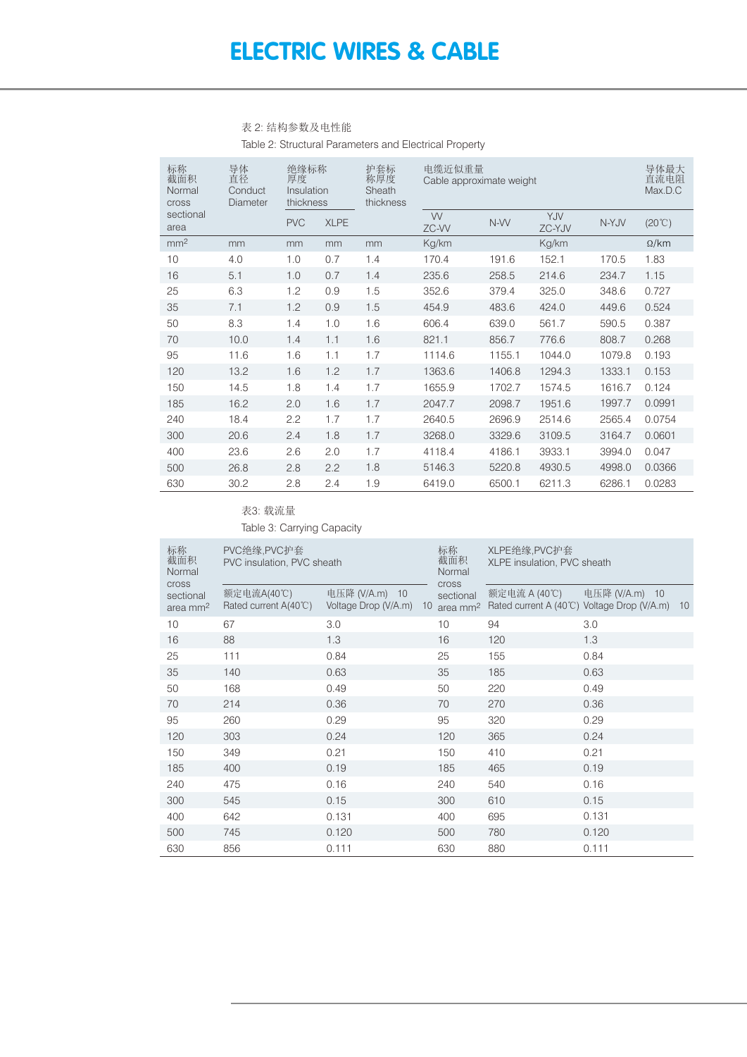表 2: 结构参数及电性能 Table 2: Structural Parameters and Electrical Property

| 标称<br>截面积<br>Normal<br>cross | 导体<br>直径<br>Conduct<br>Diameter | 绝缘标称<br>厚度<br>Insulation<br>thickness |             | 护套标<br>称厚度<br>Sheath<br>thickness | 电缆近似重量<br>Cable approximate weight | 导体最大<br>直流电阻<br>Max.D.C |               |        |                          |
|------------------------------|---------------------------------|---------------------------------------|-------------|-----------------------------------|------------------------------------|-------------------------|---------------|--------|--------------------------|
| sectional<br>area            |                                 | <b>PVC</b>                            | <b>XLPE</b> |                                   | W<br>ZC-W                          | N-VV                    | YJV<br>ZC-YJV | N-YJV  | $(20^{\circ}\mathrm{C})$ |
| mm <sup>2</sup>              | mm                              | mm                                    | mm          | mm                                | Kg/km                              |                         | Kg/km         |        | $\Omega$ /km             |
| 10                           | 4.0                             | 1.0                                   | 0.7         | 1.4                               | 170.4                              | 191.6                   | 152.1         | 170.5  | 1.83                     |
| 16                           | 5.1                             | 1.0                                   | 0.7         | 1.4                               | 235.6                              | 258.5                   | 214.6         | 234.7  | 1.15                     |
| 25                           | 6.3                             | 1.2                                   | 0.9         | 1.5                               | 352.6                              | 379.4                   | 325.0         | 348.6  | 0.727                    |
| 35                           | 7.1                             | 1.2                                   | 0.9         | 1.5                               | 454.9                              | 483.6                   | 424.0         | 449.6  | 0.524                    |
| 50                           | 8.3                             | 1.4                                   | 1.0         | 1.6                               | 606.4                              | 639.0                   | 561.7         | 590.5  | 0.387                    |
| 70                           | 10.0                            | 1.4                                   | 1.1         | 1.6                               | 821.1                              | 856.7                   | 776.6         | 808.7  | 0.268                    |
| 95                           | 11.6                            | 1.6                                   | 1.1         | 1.7                               | 1114.6                             | 1155.1                  | 1044.0        | 1079.8 | 0.193                    |
| 120                          | 13.2                            | 1.6                                   | 1.2         | 1.7                               | 1363.6                             | 1406.8                  | 1294.3        | 1333.1 | 0.153                    |
| 150                          | 14.5                            | 1.8                                   | 1.4         | 1.7                               | 1655.9                             | 1702.7                  | 1574.5        | 1616.7 | 0.124                    |
| 185                          | 16.2                            | 2.0                                   | 1.6         | 1.7                               | 2047.7                             | 2098.7                  | 1951.6        | 1997.7 | 0.0991                   |
| 240                          | 18.4                            | 2.2                                   | 1.7         | 1.7                               | 2640.5                             | 2696.9                  | 2514.6        | 2565.4 | 0.0754                   |
| 300                          | 20.6                            | 2.4                                   | 1.8         | 1.7                               | 3268.0                             | 3329.6                  | 3109.5        | 3164.7 | 0.0601                   |
| 400                          | 23.6                            | 2.6                                   | 2.0         | 1.7                               | 4118.4                             | 4186.1                  | 3933.1        | 3994.0 | 0.047                    |
| 500                          | 26.8                            | 2.8                                   | 2.2         | 1.8                               | 5146.3                             | 5220.8                  | 4930.5        | 4998.0 | 0.0366                   |
| 630                          | 30.2                            | 2.8                                   | 2.4         | 1.9                               | 6419.0                             | 6500.1                  | 6211.3        | 6286.1 | 0.0283                   |

### 表3: 载流量

#### Table 3: Carrying Capacity

| 标称<br>截面积<br>Normal<br><b>Cross</b> | PVC绝缘, PVC护套<br>PVC insulation, PVC sheath   |                                           |    | 标称<br>截面积<br>Normal<br><b>Cross</b> | XLPE绝缘,PVC护套<br>XLPE insulation, PVC sheath                 |                   |    |  |
|-------------------------------------|----------------------------------------------|-------------------------------------------|----|-------------------------------------|-------------------------------------------------------------|-------------------|----|--|
| sectional<br>area mm <sup>2</sup>   | 额定电流A(40℃)<br>Rated current $A(40^{\circ}C)$ | 电压降 (V/A.m)<br>10<br>Voltage Drop (V/A.m) | 10 | sectional<br>area $mm2$             | 额定电流 A (40℃)<br>Rated current A (40°C) Voltage Drop (V/A.m) | 电压降 (V/A.m)<br>10 | 10 |  |
| 10                                  | 67                                           | 3.0                                       |    | 10                                  | 94                                                          | 3.0               |    |  |
| 16                                  | 88                                           | 1.3                                       |    | 16                                  | 120                                                         | 1.3               |    |  |
| 25                                  | 111                                          | 0.84                                      |    | 25                                  | 155                                                         | 0.84              |    |  |
| 35                                  | 140                                          | 0.63                                      |    | 35                                  | 185                                                         | 0.63              |    |  |
| 50                                  | 168                                          | 0.49                                      |    | 50                                  | 220                                                         | 0.49              |    |  |
| 70                                  | 214                                          | 0.36                                      |    | 70                                  | 270                                                         | 0.36              |    |  |
| 95                                  | 260                                          | 0.29                                      |    | 95                                  | 320                                                         | 0.29              |    |  |
| 120                                 | 303                                          | 0.24                                      |    | 120                                 | 365                                                         | 0.24              |    |  |
| 150                                 | 349                                          | 0.21                                      |    | 150                                 | 410                                                         | 0.21              |    |  |
| 185                                 | 400                                          | 0.19                                      |    | 185                                 | 465                                                         | 0.19              |    |  |
| 240                                 | 475                                          | 0.16                                      |    | 240                                 | 540                                                         | 0.16              |    |  |
| 300                                 | 545                                          | 0.15                                      |    | 300                                 | 610                                                         | 0.15              |    |  |
| 400                                 | 642                                          | 0.131                                     |    | 400                                 | 695                                                         | 0.131             |    |  |
| 500                                 | 745                                          | 0.120                                     |    | 500                                 | 780                                                         | 0.120             |    |  |
| 630                                 | 856                                          | 0.111                                     |    | 630                                 | 880                                                         | 0.111             |    |  |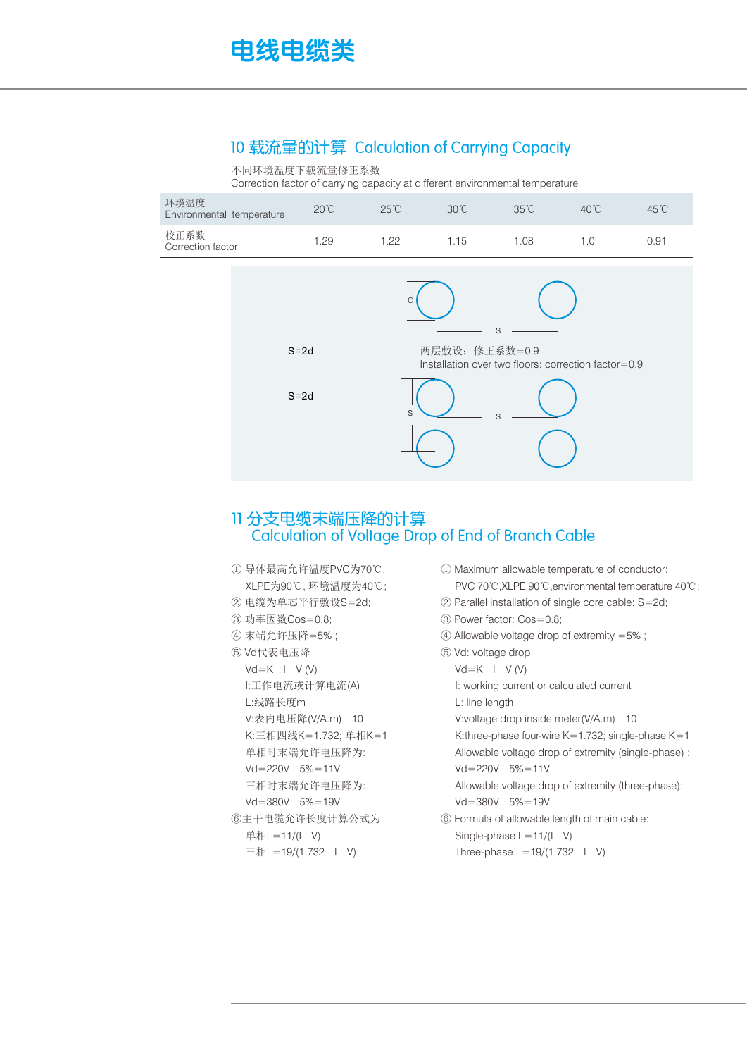### 10 载流量的计算 Calculation of Carrying Capacity

不同环境温度下载流量修正系数

Correction factor of carrying capacity at different environmental temperature

| 环境温度<br>Environmental temperature | $20^{\circ}$ C | $25^{\circ}$ C | 30°C | 35°C | $40^{\circ}$ C | $45^{\circ}$ C |
|-----------------------------------|----------------|----------------|------|------|----------------|----------------|
| 校正系数<br>Correction factor         | 1.29           | 1.22           | 1 15 | .08  |                | 0.91           |



### 11 分支电缆末端压降的计算 Calculation of Voltage Drop of End of Branch Cable

- ① 导体最高允许温度PVC为70℃,
- XLPE为90℃, 环境温度为40℃;
- ② 电缆为单芯平行敷设S=2d;
- ③ 功率因数Cos=0.8;
- 4 末端允许压降=5%;
- 5 Vd代表电压降
- l:工作电流或计算电流(A) L:线路长度m  $Vd=K \mid V(V)$
- V:表内电压降(V/A.m) 10 K:三相四线K=1.732; 单相K=1
- 单相时末端允许电压降为:
- Vd=220V 5%=11V
- 三相时末端允许电压降为: Vd=380V 5%=19V
- ⑥主干电缆允许长度计算公式为:
	- 单相L=11/(I V)
	- 三相L=19/(1.732 l V)
- ① Maximum allowable temperature of conductor: PVC 70℃, XLPE 90℃, environmental temperature 40℃; ② Parallel installation of single core cable: S=2d;
- ③ Power factor: Cos=0.8;
- ④ Allowable voltage drop of extremity =5% ;
- ⑤ Vd: voltage drop
	- $Vd=K \quad I \quad V(V)$
	- I: working current or calculated current L: line length
	- V:voltage drop inside meter(V/A.m) 10
	- K:three-phase four-wire K=1.732; single-phase K=1 Allowable voltage drop of extremity (single-phase) :
- Vd=220V 5%=11V
- Allowable voltage drop of extremity (three-phase): Vd=380V 5%=19V
- ⑥ Formula of allowable length of main cable: Single-phase L=11/(I V)
	- Three-phase  $L=19/(1.732 \quad I \quad V)$